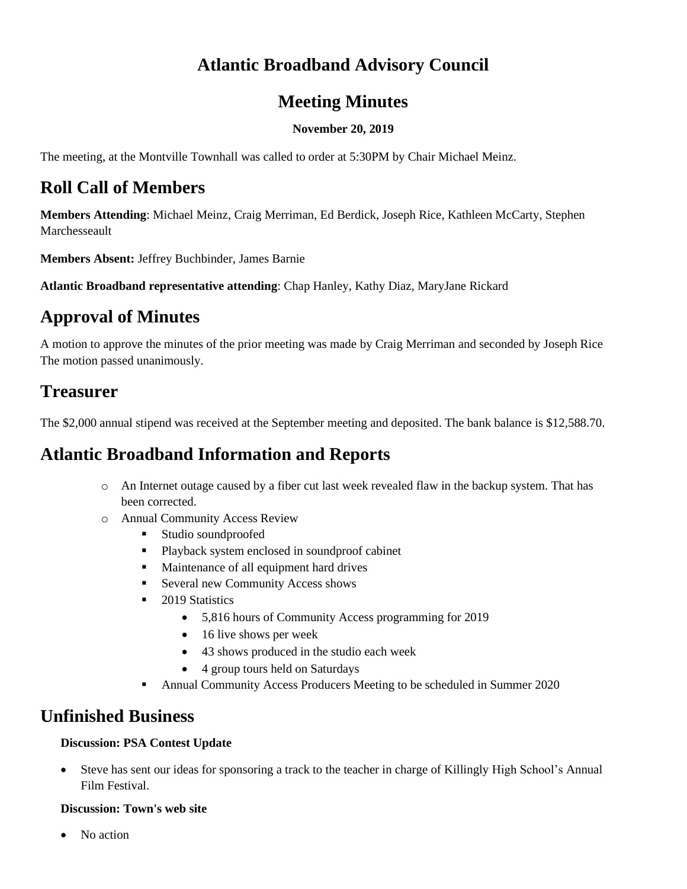## **Atlantic Broadband Advisory Council**

### **Meeting Minutes**

#### **November 20, 2019**

The meeting, at the Montville Townhall was called to order at 5:30PM by Chair Michael Meinz.

## **Roll Call of Members**

**Members Attending**: Michael Meinz, Craig Merriman, Ed Berdick, Joseph Rice, Kathleen McCarty, Stephen Marchesseault

**Members Absent:** Jeffrey Buchbinder, James Barnie

**Atlantic Broadband representative attending**: Chap Hanley, Kathy Diaz, MaryJane Rickard

# **Approval of Minutes**

A motion to approve the minutes of the prior meeting was made by Craig Merriman and seconded by Joseph Rice The motion passed unanimously.

### **Treasurer**

The \$2,000 annual stipend was received at the September meeting and deposited. The bank balance is \$12,588.70.

## **Atlantic Broadband Information and Reports**

- o An Internet outage caused by a fiber cut last week revealed flaw in the backup system. That has been corrected.
- o Annual Community Access Review
	- Studio soundproofed
	- Playback system enclosed in soundproof cabinet
	- Maintenance of all equipment hard drives
	- Several new Community Access shows
	- 2019 Statistics
		- 5,816 hours of Community Access programming for 2019
		- 16 live shows per week
		- 43 shows produced in the studio each week
		- 4 group tours held on Saturdays
	- Annual Community Access Producers Meeting to be scheduled in Summer 2020

#### **Unfinished Business**

#### **Discussion: PSA Contest Update**

• Steve has sent our ideas for sponsoring a track to the teacher in charge of Killingly High School's Annual Film Festival.

#### **Discussion: Town's web site**

No action